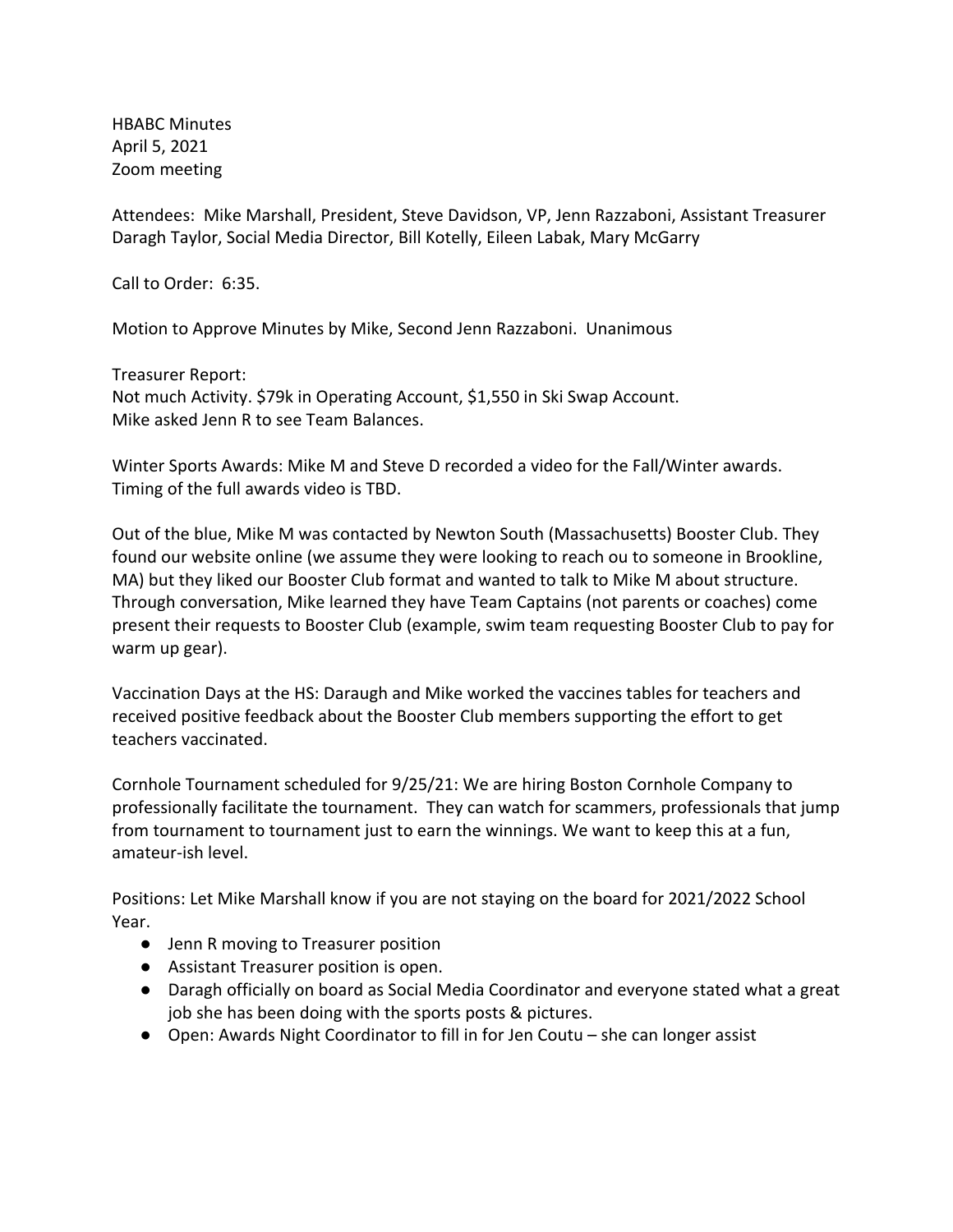HBABC Minutes April 5, 2021 Zoom meeting

Attendees: Mike Marshall, President, Steve Davidson, VP, Jenn Razzaboni, Assistant Treasurer Daragh Taylor, Social Media Director, Bill Kotelly, Eileen Labak, Mary McGarry

Call to Order: 6:35.

Motion to Approve Minutes by Mike, Second Jenn Razzaboni. Unanimous

Treasurer Report: Not much Activity. \$79k in Operating Account, \$1,550 in Ski Swap Account. Mike asked Jenn R to see Team Balances.

Winter Sports Awards: Mike M and Steve D recorded a video for the Fall/Winter awards. Timing of the full awards video is TBD.

Out of the blue, Mike M was contacted by Newton South (Massachusetts) Booster Club. They found our website online (we assume they were looking to reach ou to someone in Brookline, MA) but they liked our Booster Club format and wanted to talk to Mike M about structure. Through conversation, Mike learned they have Team Captains (not parents or coaches) come present their requests to Booster Club (example, swim team requesting Booster Club to pay for warm up gear).

Vaccination Days at the HS: Daraugh and Mike worked the vaccines tables for teachers and received positive feedback about the Booster Club members supporting the effort to get teachers vaccinated.

Cornhole Tournament scheduled for 9/25/21: We are hiring Boston Cornhole Company to professionally facilitate the tournament. They can watch for scammers, professionals that jump from tournament to tournament just to earn the winnings. We want to keep this at a fun, amateur-ish level.

Positions: Let Mike Marshall know if you are not staying on the board for 2021/2022 School Year.

- Jenn R moving to Treasurer position
- Assistant Treasurer position is open.
- Daragh officially on board as Social Media Coordinator and everyone stated what a great job she has been doing with the sports posts & pictures.
- Open: Awards Night Coordinator to fill in for Jen Coutu she can longer assist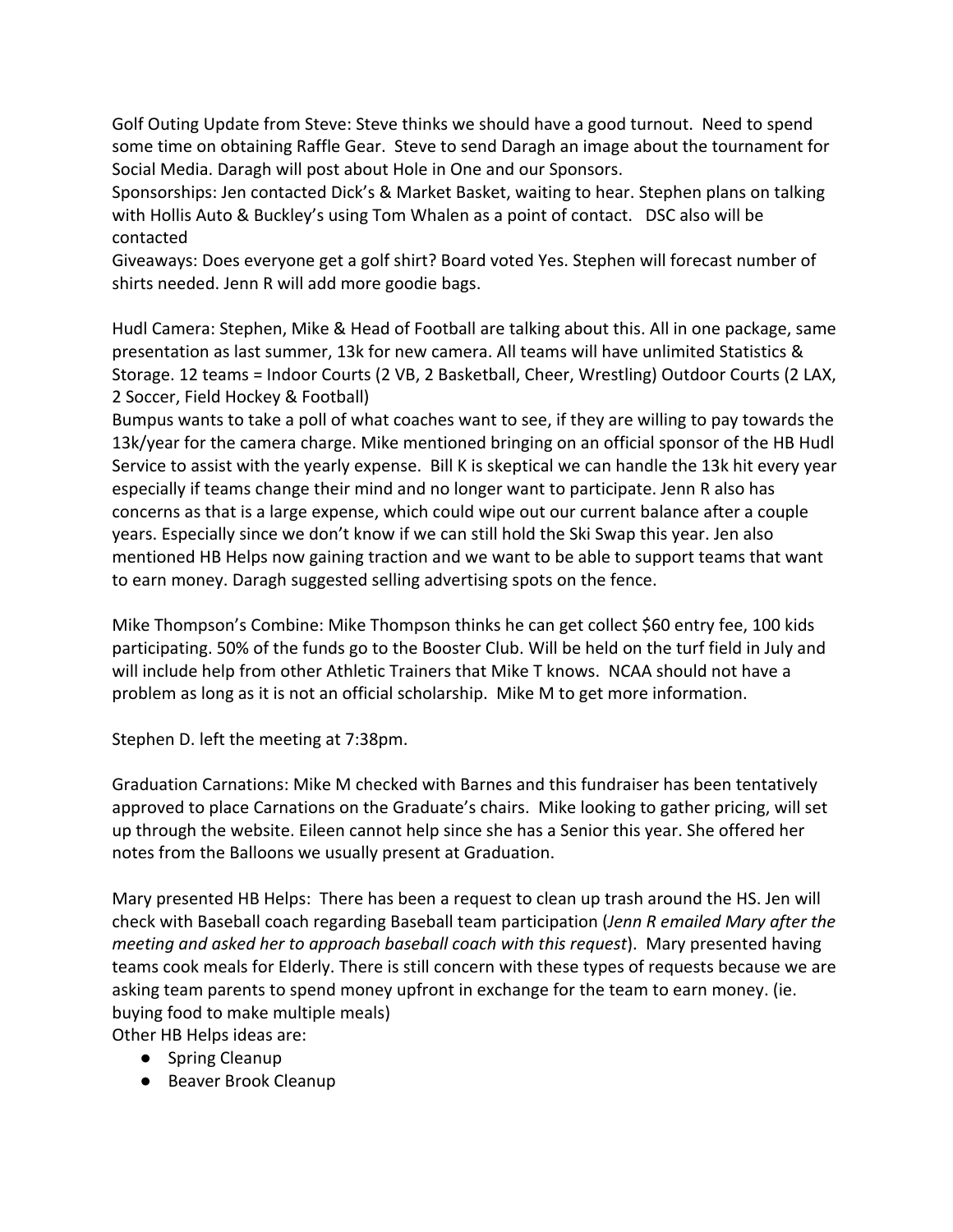Golf Outing Update from Steve: Steve thinks we should have a good turnout. Need to spend some time on obtaining Raffle Gear. Steve to send Daragh an image about the tournament for Social Media. Daragh will post about Hole in One and our Sponsors.

Sponsorships: Jen contacted Dick's & Market Basket, waiting to hear. Stephen plans on talking with Hollis Auto & Buckley's using Tom Whalen as a point of contact. DSC also will be contacted

Giveaways: Does everyone get a golf shirt? Board voted Yes. Stephen will forecast number of shirts needed. Jenn R will add more goodie bags.

Hudl Camera: Stephen, Mike & Head of Football are talking about this. All in one package, same presentation as last summer, 13k for new camera. All teams will have unlimited Statistics & Storage. 12 teams = Indoor Courts (2 VB, 2 Basketball, Cheer, Wrestling) Outdoor Courts (2 LAX, 2 Soccer, Field Hockey & Football)

Bumpus wants to take a poll of what coaches want to see, if they are willing to pay towards the 13k/year for the camera charge. Mike mentioned bringing on an official sponsor of the HB Hudl Service to assist with the yearly expense. Bill K is skeptical we can handle the 13k hit every year especially if teams change their mind and no longer want to participate. Jenn R also has concerns as that is a large expense, which could wipe out our current balance after a couple years. Especially since we don't know if we can still hold the Ski Swap this year. Jen also mentioned HB Helps now gaining traction and we want to be able to support teams that want to earn money. Daragh suggested selling advertising spots on the fence.

Mike Thompson's Combine: Mike Thompson thinks he can get collect \$60 entry fee, 100 kids participating. 50% of the funds go to the Booster Club. Will be held on the turf field in July and will include help from other Athletic Trainers that Mike T knows. NCAA should not have a problem as long as it is not an official scholarship. Mike M to get more information.

Stephen D. left the meeting at 7:38pm.

Graduation Carnations: Mike M checked with Barnes and this fundraiser has been tentatively approved to place Carnations on the Graduate's chairs. Mike looking to gather pricing, will set up through the website. Eileen cannot help since she has a Senior this year. She offered her notes from the Balloons we usually present at Graduation.

Mary presented HB Helps: There has been a request to clean up trash around the HS. Jen will check with Baseball coach regarding Baseball team participation (*Jenn R emailed Mary after the meeting and asked her to approach baseball coach with this request*). Mary presented having teams cook meals for Elderly. There is still concern with these types of requests because we are asking team parents to spend money upfront in exchange for the team to earn money. (ie. buying food to make multiple meals)

Other HB Helps ideas are:

- Spring Cleanup
- Beaver Brook Cleanup